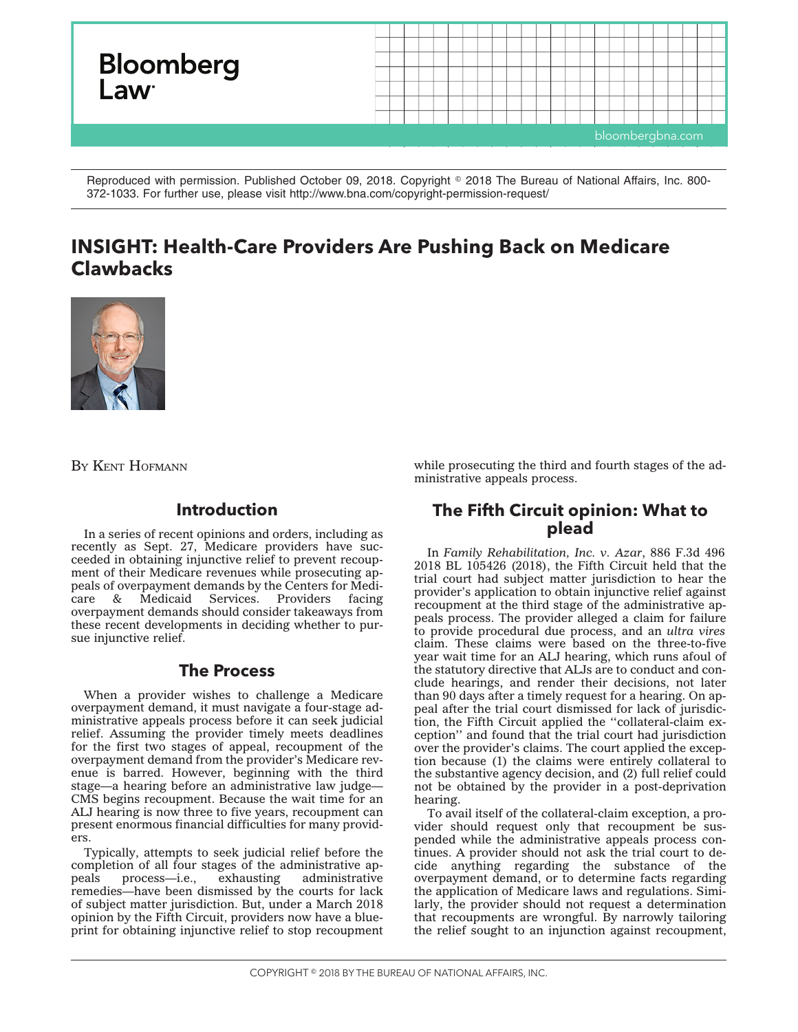

Reproduced with permission. Published October 09, 2018. Copyright © 2018 The Bureau of National Affairs, Inc. 800-372-1033. For further use, please visit http://www.bna.com/copyright-permission-request/

# **INSIGHT: Health-Care Providers Are Pushing Back on Medicare Clawbacks**



BY KENT HOFMANN

## **Introduction**

In a series of recent opinions and orders, including as recently as Sept. 27, Medicare providers have succeeded in obtaining injunctive relief to prevent recoupment of their Medicare revenues while prosecuting appeals of overpayment demands by the Centers for Medi-Services. Providers overpayment demands should consider takeaways from these recent developments in deciding whether to pursue injunctive relief.

### **The Process**

When a provider wishes to challenge a Medicare overpayment demand, it must navigate a four-stage administrative appeals process before it can seek judicial relief. Assuming the provider timely meets deadlines for the first two stages of appeal, recoupment of the overpayment demand from the provider's Medicare revenue is barred. However, beginning with the third stage—a hearing before an administrative law judge— CMS begins recoupment. Because the wait time for an ALJ hearing is now three to five years, recoupment can present enormous financial difficulties for many providers.

Typically, attempts to seek judicial relief before the completion of all four stages of the administrative appeals process—i.e., exhausting administrative remedies—have been dismissed by the courts for lack of subject matter jurisdiction. But, under a March 2018 opinion by the Fifth Circuit, providers now have a blueprint for obtaining injunctive relief to stop recoupment

while prosecuting the third and fourth stages of the administrative appeals process.

## **The Fifth Circuit opinion: What to plead**

In *Family Rehabilitation, Inc. v. Azar*, 886 F.3d 496 2018 BL 105426 (2018), the Fifth Circuit held that the trial court had subject matter jurisdiction to hear the provider's application to obtain injunctive relief against recoupment at the third stage of the administrative appeals process. The provider alleged a claim for failure to provide procedural due process, and an *ultra vires* claim. These claims were based on the three-to-five year wait time for an ALJ hearing, which runs afoul of the statutory directive that ALJs are to conduct and conclude hearings, and render their decisions, not later than 90 days after a timely request for a hearing. On appeal after the trial court dismissed for lack of jurisdiction, the Fifth Circuit applied the ''collateral-claim exception'' and found that the trial court had jurisdiction over the provider's claims. The court applied the exception because (1) the claims were entirely collateral to the substantive agency decision, and (2) full relief could not be obtained by the provider in a post-deprivation hearing.

To avail itself of the collateral-claim exception, a provider should request only that recoupment be suspended while the administrative appeals process continues. A provider should not ask the trial court to decide anything regarding the substance of the overpayment demand, or to determine facts regarding the application of Medicare laws and regulations. Similarly, the provider should not request a determination that recoupments are wrongful. By narrowly tailoring the relief sought to an injunction against recoupment,